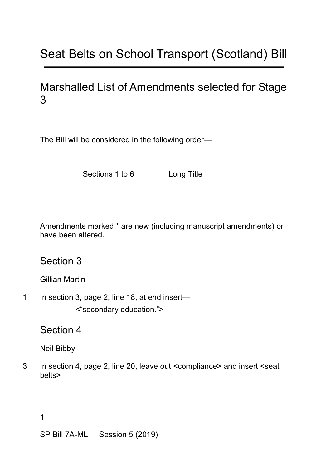## Seat Belts on School Transport (Scotland) Bill

## Marshalled List of Amendments selected for Stage 3

The Bill will be considered in the following order—

Sections 1 to 6 Long Title

Amendments marked \* are new (including manuscript amendments) or have been altered.

Section 3

Gillian Martin

1 In section 3, page 2, line 18, at end insert— <"secondary education.">

Section 4

Neil Bibby

3 In section 4, page 2, line 20, leave out <compliance> and insert <seat belts>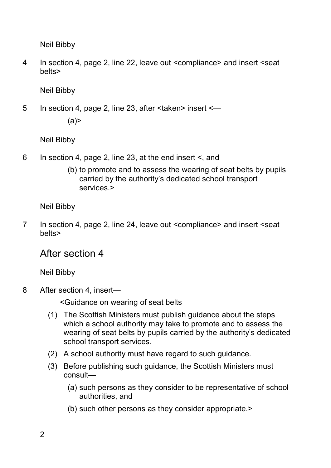Neil Bibby

4 In section 4, page 2, line 22, leave out <compliance> and insert <seat belts>

Neil Bibby

5 In section 4, page 2, line 23, after <taken> insert <—  $(a)$ 

Neil Bibby

- 6 In section 4, page 2, line 23, at the end insert <, and
	- (b) to promote and to assess the wearing of seat belts by pupils carried by the authority's dedicated school transport services.>

Neil Bibby

7 In section 4, page 2, line 24, leave out <compliance> and insert <seat belts>

## After section 4

Neil Bibby

8 After section 4, insert—

<Guidance on wearing of seat belts

- (1) The Scottish Ministers must publish guidance about the steps which a school authority may take to promote and to assess the wearing of seat belts by pupils carried by the authority's dedicated school transport services.
- (2) A school authority must have regard to such guidance.
- (3) Before publishing such guidance, the Scottish Ministers must consult—
	- (a) such persons as they consider to be representative of school authorities, and
	- (b) such other persons as they consider appropriate.>